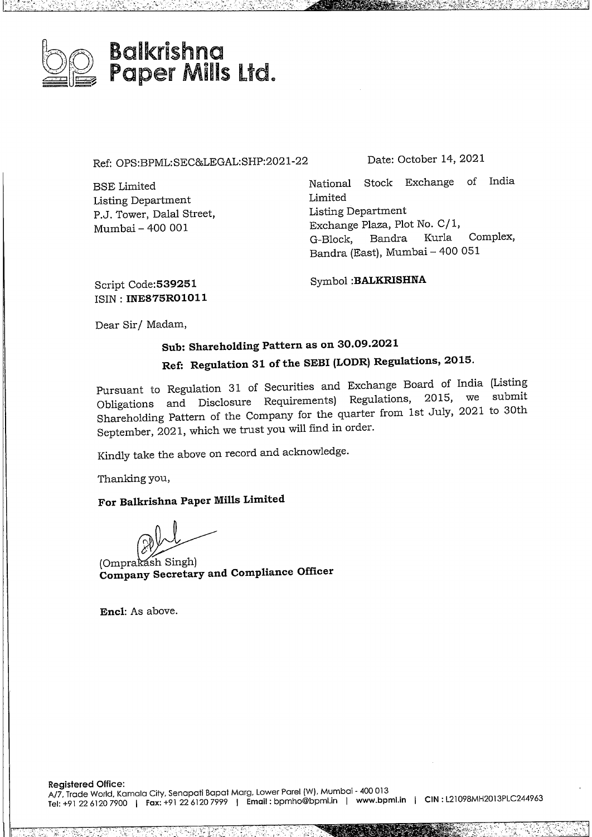

Ref: OPS:BPML:SEC&LEGAL:SHP:2021-22

BSE Limited Listing Department P.J. Tower, Dalal Street, Mumbai- <sup>400</sup> 001

Date: October 14, 2021

National Stock Exchange of India Limited Listing Department Exchange Plaza, Plot No. C/ 1, G-Block, Bandra Kurla Complex, G-Block, Bandra Kurla Complex,<br>Bandra (East), Mumbai – 400 051

Script Code:539251 ISIN : **INE875RO1011** Symbol **:BALKRISHNA**

Dear Sir/ Madam,

## **Sub: Shareholding Pattern as on 30.09.2021**

### **Ref: Regulation 31 of the SEBI (LODR) Regulations, 2015.**

Pursuant to Regulation 31 of Securities and Exchange Board of India (Listing Obligations and Disclosure Requirements) Regulations, 2015, we submit Shareholding Pattern of the Company for the quarter from 1st July, 2021 to 30th September, 2021, which we trust you will find in order.

Kindly take the above on record and acknowledge.

Thanking you,

#### **For Balkrishna Paper Mills Limited**

Kindly take the above on record and acknowled<br>
Thanking you,<br> **For Balkrishna Paper Mills Limited<br>
(Omprakash Singh)<br>
<b>Company Secretary and Compliance Officer** 

**Encl:** As above.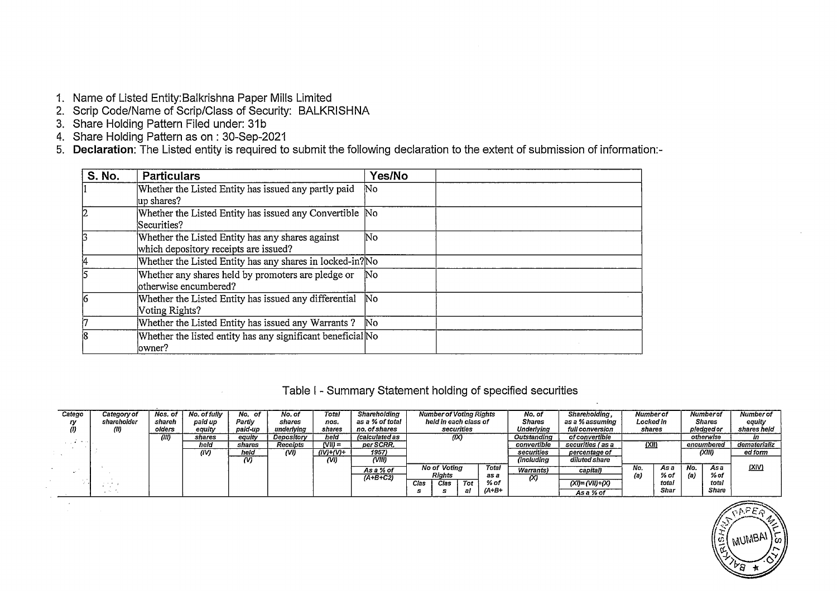- 
- 
- 
- 
- 1. Name of Listed Entity:Balkrishna Paper Mills Limited<br>2. Scrip Code/Name of Scrip/Class of Security: BALKRISHNA<br>3. Share Holding Pattern Filed under: 31b<br>4. Share Holding Pattern as on : 30-Sep-2021<br>5. **Declaration**: The

| <b>S. No.</b> | <b>Particulars</b>                                                                        | Yes/No |
|---------------|-------------------------------------------------------------------------------------------|--------|
|               | Whether the Listed Entity has issued any partly paid<br>up shares?                        | No     |
| 2             | Whether the Listed Entity has issued any Convertible No<br>Securities?                    |        |
|               | Whether the Listed Entity has any shares against<br>which depository receipts are issued? | No     |
|               | Whether the Listed Entity has any shares in locked-in? No                                 |        |
|               | Whether any shares held by promoters are pledge or<br>otherwise encumbered?               | ľΝo    |
| 16            | Whether the Listed Entity has issued any differential<br>Voting Rights?                   | No     |
| 17            | Whether the Listed Entity has issued any Warrants?                                        | No     |
| Ì8            | Whether the listed entity has any significant beneficial No<br>lowner?                    |        |

### Table I - Summary Statement holding of specified securities

| Catego             | Category of     | Nos. of | No. of fully | No. of  | No. of     | Total       | Shareholding    | <b>Number of Voting Rights</b> | No. of            | Shareholding,        | <b>Number of</b> |       | Number of     | Number of    |
|--------------------|-----------------|---------|--------------|---------|------------|-------------|-----------------|--------------------------------|-------------------|----------------------|------------------|-------|---------------|--------------|
|                    | shareholder     | shareh  | paid up      | Partly  | shares     | nos.        | as a % of total | held in each class of          | <b>Shares</b>     | as a % assuming      | Locked in        |       | <b>Shares</b> | equity       |
|                    | w               | olders  | eauitv       | paid-up | underlving | shares      | no. of shares   | securities                     | <b>Underlying</b> | full conversion      | shares           |       | pledged or    | shares held  |
|                    |                 | (III)   | shares       | eauitv  | Depository | held        | (calculated as  | (IX)                           | Outstanding       | of convertible       |                  |       | otherwise     | m            |
| and a state of the |                 |         | held         | shares  | Receipts   | $(VII) =$   | per SCRR.       |                                | convertible       | securities (as a     | <u>(XII)</u>     |       | encumbered    | dematerializ |
|                    |                 |         | (IV)         | held    | (VI)       | $(IV)+(V)+$ | 1957)           |                                | securities        | percentage of        |                  |       | (XIII)        | ed form      |
|                    |                 |         |              | (V)     |            | (VI)        | (VIII)          |                                | (includina        | diluted share        |                  |       |               |              |
|                    |                 |         |              |         |            |             | As a % of       | Total<br><b>No of Votina</b>   | Warrants)         | capital)             | No.              | As a  | No.<br>Asa    | (XIV)        |
|                    |                 |         |              |         |            |             | $(A+B+C2)$      | Rights<br>as a                 | (X)               |                      | (a)              | % of  | % of<br>(a)   |              |
|                    | .               |         |              |         |            |             |                 | % of<br>Tot<br>Clas<br>Clas    |                   | $(XI) = (VII) + (X)$ |                  | total | total         |              |
|                    | and the Control |         |              |         |            |             |                 | $(A+B+)$                       |                   | As a % of            |                  | Shar  | <b>Share</b>  |              |

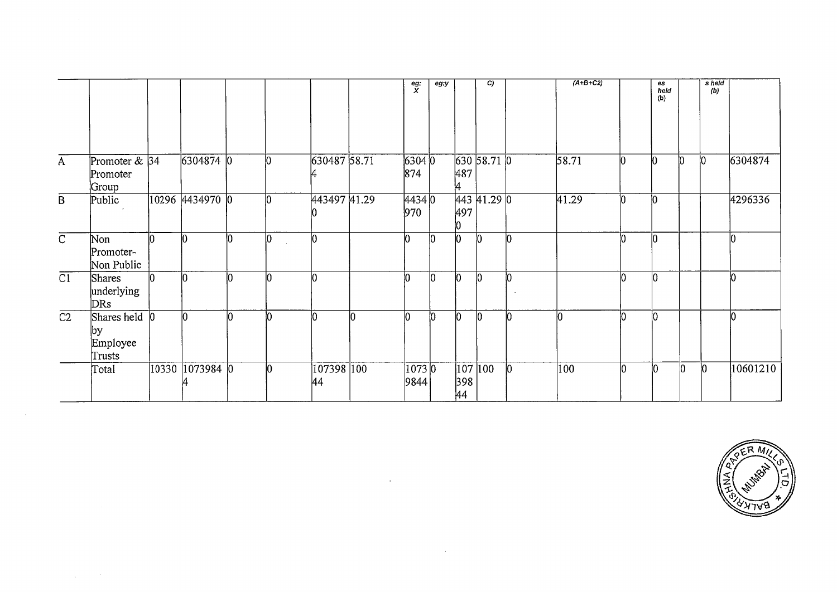|                 |                                                |                   |    |    |                   |    | $\overline{eg:}$<br>$\overline{X}$ | eg:y         |           | C           |    | $(A+B+C2)$ |    | es<br>held<br>(b) |    | $s$ held<br>(b) |          |
|-----------------|------------------------------------------------|-------------------|----|----|-------------------|----|------------------------------------|--------------|-----------|-------------|----|------------|----|-------------------|----|-----------------|----------|
| $\mathbf{A}$    | Promoter $& 34$<br>Promoter<br>Group           | 6304874 0         |    | 10 | 630487 58.71      |    | 63040<br>874                       |              | 487       | 630 58.71 0 |    | 58.71      | 10 | 10                | İ٨ | 10              | 6304874  |
| $\overline{B}$  | Public                                         | 10296 4434970 0   |    | 10 | 443497 41.29      |    | 4434 0<br>970                      |              | 497       | 443 41.29 0 |    | 41.29      | 10 | 10                |    |                 | 4296336  |
| $\overline{C}$  | Non<br>Promoter-<br>Non Public                 |                   | lο | l0 | 10                |    | Ō                                  | $\mathbf{0}$ | b         | 10          | 10 |            | In | 10                |    |                 |          |
| $\overline{C1}$ | Shares<br>underlying<br>DRs                    |                   | 'n |    | Ю                 |    | lΩ                                 | Ю            | 'n        | lO          | 10 |            | l۵ | Ю                 |    |                 |          |
| $\overline{C2}$ | Shares held $ 0 $<br>Įbу<br>Employee<br>Trusts | Ю                 |    |    | 10                | Iо |                                    | 10           | IО        | 10          |    | 10         | In | İО                |    |                 |          |
|                 | Total                                          | 10330  1073984  0 |    | ni | 107398  100<br>44 |    | 1073   0<br>9844                   |              | 398<br>44 | 107 100     | 10 | 100        | 0  | İ0                | lΟ | Ю               | 10601210 |

 $\mathcal{L}^{\mathcal{L}}(\mathcal{L}^{\mathcal{L}})$  and  $\mathcal{L}^{\mathcal{L}}(\mathcal{L}^{\mathcal{L}})$  . The contribution of  $\mathcal{L}^{\mathcal{L}}$ 

 $\mathcal{L}_{\text{max}}$  and  $\mathcal{L}_{\text{max}}$ 

 $\sim 100$ 

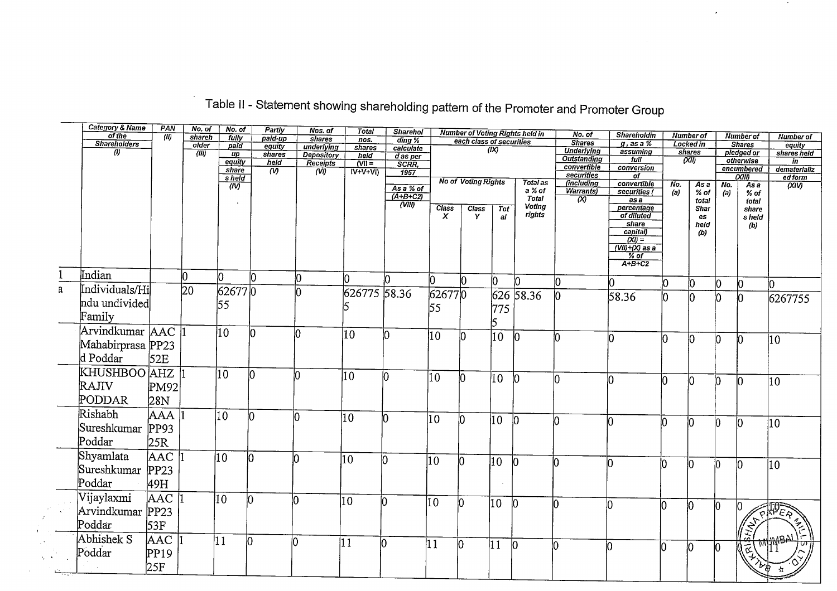| <b>Total</b><br><b>Sharehol</b><br><b>Number of Voting Rights held in</b><br>No. of<br>of the<br><b>Shareholdin</b><br><b>Number of</b><br><b>Number of</b><br>$\overline{a}$<br><b>Number of</b><br>shareh<br><b>fully</b><br>paid-up<br>shares<br>nos.<br>$\overline{ding~%}$<br>each class of securities<br><b>Shares</b><br><b>Shareholders</b><br>$g$ , as a $%$<br><b>Locked in</b><br><b>Shares</b><br>equity<br>older<br>paid<br>equity<br>underlying<br><i>shares</i><br>calculate<br>(IX)<br><b>Underlying</b><br>assuming<br>(1)<br>shares<br>pledged or<br>shares held<br>(III)<br>иp<br>shares<br><b>Depository</b><br>held<br>$d$ as per<br><b>Outstanding</b><br>full<br>$\overline{(XII)}$<br>otherwise<br>in<br>equity<br>held<br><b>Receipts</b><br>$\overline{V} = \overline{V}$<br>SCRR,<br>convertible<br>conversion<br>encumbered<br>dematerializ<br>share<br>$\overline{w}$<br>$\overline{(\mathsf{V}\mathsf{I})}$<br>$\overline{IV+V+VI}$<br>1957<br>securities<br>$\overline{of}$<br>$\alpha$ iii)<br>ed form<br>s held<br><b>No of Voting Rights</b><br>Total as<br>(including<br>convertible<br>$\overline{N_{0}}$<br>Asa<br>No.<br>$\overline{(XIV)}$<br>$\overline{Asa}$<br>$\overline{w}$<br>$\overline{Asa\%of}$<br>a % of<br><b>Warrants</b> )<br>securities (<br>% of<br>(a)<br>(a)<br>$%$ of<br>$(A+B+C2)$<br>Total<br>$\overline{\infty}$<br>as a<br>total<br>total<br>$\overline{(VIII)}$<br>Voting<br><b>Class</b><br>percentage<br>Class<br>Shar<br>$\overline{Tot}$<br>share<br>rights<br>of diluted<br>x<br>Y<br>es<br>al<br>s held<br>share<br>held<br>(b)<br>$\frac{capital)}{(XI)}$<br>(b)<br>$\overline{(VII)+(X)}$ as a<br>$%$ of<br>$A+B+C2$<br>$\mathbf{1}$<br>Indian<br>10<br>l0<br>10<br>10<br>IΟ.<br>Ю.<br>IN.<br>10<br>Ю<br>10<br>Ю.<br>n<br>Individuals/Hi<br>$\overline{20}$<br>$\mathbf{a}$<br>626770<br>l٥<br>626775 58.36<br>626770<br>626 58.36<br>58.36<br>$\overline{0}$<br>6267755<br>10<br>lO.<br>ndu undivided<br>55<br>55<br>15<br>775<br>Family<br>15<br>Arvindkumar AAC<br>10<br>n<br>10<br>I۵<br>10<br>$10^{-}$<br>b<br>lo.<br>h<br>n<br>Ю<br>Iо<br>10<br>Mahabirprasa PP23<br>d Poddar<br>52E<br>KHUSHBOO AHZ<br>10<br>10<br>10<br>l0<br>$ 10\rangle$<br>10<br>In.<br>U<br>M<br>10<br>İRAJIV<br>PM92<br>PODDAR<br>28N<br>Rishabh<br>AAA<br>$\overline{10}$<br>h<br>10<br>l0<br>10<br>Ю<br>10 <sup>°</sup><br>10<br>n<br>h<br>In.<br>b<br>110<br>Sureshkumar<br>PP93<br>Poddar<br>25R<br>Shyamlata<br>$AAC$ <sup>1</sup><br>$ 10\rangle$<br>IO.<br>n.<br>10<br>h<br>10<br>10 <sup>°</sup><br>n<br>$\overline{0}$<br>l0<br>h<br>IО<br>10<br>10<br>$ 10\rangle$<br>Sureshkumar PP23<br>Poddar<br>49H<br>Vijaylaxmi<br> AAC  <br>$\overline{10}$<br>n<br>Ιn<br>10<br>l0<br>10<br>IO.<br>'10 $\overline{0}$<br>l0<br>n<br>In.<br>lO.<br>lо<br><b>TOER</b><br>Arvindkumar PP23<br><b>TANTA</b><br>Poddar<br>53F<br>Abhishek S<br>$\frac{1}{2}$<br> AAC  1<br> 11<br>lO.<br>IO.<br> 11<br>l0<br> 11<br>10<br>11<br>$\bf{0}$<br>lО<br>10<br>JE.<br>10<br>10 |        |     |  |  |  |  |  |  |  |  |  |
|------------------------------------------------------------------------------------------------------------------------------------------------------------------------------------------------------------------------------------------------------------------------------------------------------------------------------------------------------------------------------------------------------------------------------------------------------------------------------------------------------------------------------------------------------------------------------------------------------------------------------------------------------------------------------------------------------------------------------------------------------------------------------------------------------------------------------------------------------------------------------------------------------------------------------------------------------------------------------------------------------------------------------------------------------------------------------------------------------------------------------------------------------------------------------------------------------------------------------------------------------------------------------------------------------------------------------------------------------------------------------------------------------------------------------------------------------------------------------------------------------------------------------------------------------------------------------------------------------------------------------------------------------------------------------------------------------------------------------------------------------------------------------------------------------------------------------------------------------------------------------------------------------------------------------------------------------------------------------------------------------------------------------------------------------------------------------------------------------------------------------------------------------------------------------------------------------------------------------------------------------------------------------------------------------------------------------------------------------------------------------------------------------------------------------------------------------------------------------------------------------------------------------------------------------------------------------------------------------------------------------------------------------------------------------------------------------------------------------------------------------------------------------------------------------------------------------------------------------------------------------------------------------------------------------------------------------------------------------------------------------------------------|--------|-----|--|--|--|--|--|--|--|--|--|
|                                                                                                                                                                                                                                                                                                                                                                                                                                                                                                                                                                                                                                                                                                                                                                                                                                                                                                                                                                                                                                                                                                                                                                                                                                                                                                                                                                                                                                                                                                                                                                                                                                                                                                                                                                                                                                                                                                                                                                                                                                                                                                                                                                                                                                                                                                                                                                                                                                                                                                                                                                                                                                                                                                                                                                                                                                                                                                                                                                                                                        |        |     |  |  |  |  |  |  |  |  |  |
|                                                                                                                                                                                                                                                                                                                                                                                                                                                                                                                                                                                                                                                                                                                                                                                                                                                                                                                                                                                                                                                                                                                                                                                                                                                                                                                                                                                                                                                                                                                                                                                                                                                                                                                                                                                                                                                                                                                                                                                                                                                                                                                                                                                                                                                                                                                                                                                                                                                                                                                                                                                                                                                                                                                                                                                                                                                                                                                                                                                                                        |        |     |  |  |  |  |  |  |  |  |  |
|                                                                                                                                                                                                                                                                                                                                                                                                                                                                                                                                                                                                                                                                                                                                                                                                                                                                                                                                                                                                                                                                                                                                                                                                                                                                                                                                                                                                                                                                                                                                                                                                                                                                                                                                                                                                                                                                                                                                                                                                                                                                                                                                                                                                                                                                                                                                                                                                                                                                                                                                                                                                                                                                                                                                                                                                                                                                                                                                                                                                                        |        |     |  |  |  |  |  |  |  |  |  |
|                                                                                                                                                                                                                                                                                                                                                                                                                                                                                                                                                                                                                                                                                                                                                                                                                                                                                                                                                                                                                                                                                                                                                                                                                                                                                                                                                                                                                                                                                                                                                                                                                                                                                                                                                                                                                                                                                                                                                                                                                                                                                                                                                                                                                                                                                                                                                                                                                                                                                                                                                                                                                                                                                                                                                                                                                                                                                                                                                                                                                        |        |     |  |  |  |  |  |  |  |  |  |
|                                                                                                                                                                                                                                                                                                                                                                                                                                                                                                                                                                                                                                                                                                                                                                                                                                                                                                                                                                                                                                                                                                                                                                                                                                                                                                                                                                                                                                                                                                                                                                                                                                                                                                                                                                                                                                                                                                                                                                                                                                                                                                                                                                                                                                                                                                                                                                                                                                                                                                                                                                                                                                                                                                                                                                                                                                                                                                                                                                                                                        |        |     |  |  |  |  |  |  |  |  |  |
|                                                                                                                                                                                                                                                                                                                                                                                                                                                                                                                                                                                                                                                                                                                                                                                                                                                                                                                                                                                                                                                                                                                                                                                                                                                                                                                                                                                                                                                                                                                                                                                                                                                                                                                                                                                                                                                                                                                                                                                                                                                                                                                                                                                                                                                                                                                                                                                                                                                                                                                                                                                                                                                                                                                                                                                                                                                                                                                                                                                                                        |        |     |  |  |  |  |  |  |  |  |  |
|                                                                                                                                                                                                                                                                                                                                                                                                                                                                                                                                                                                                                                                                                                                                                                                                                                                                                                                                                                                                                                                                                                                                                                                                                                                                                                                                                                                                                                                                                                                                                                                                                                                                                                                                                                                                                                                                                                                                                                                                                                                                                                                                                                                                                                                                                                                                                                                                                                                                                                                                                                                                                                                                                                                                                                                                                                                                                                                                                                                                                        |        |     |  |  |  |  |  |  |  |  |  |
|                                                                                                                                                                                                                                                                                                                                                                                                                                                                                                                                                                                                                                                                                                                                                                                                                                                                                                                                                                                                                                                                                                                                                                                                                                                                                                                                                                                                                                                                                                                                                                                                                                                                                                                                                                                                                                                                                                                                                                                                                                                                                                                                                                                                                                                                                                                                                                                                                                                                                                                                                                                                                                                                                                                                                                                                                                                                                                                                                                                                                        |        |     |  |  |  |  |  |  |  |  |  |
|                                                                                                                                                                                                                                                                                                                                                                                                                                                                                                                                                                                                                                                                                                                                                                                                                                                                                                                                                                                                                                                                                                                                                                                                                                                                                                                                                                                                                                                                                                                                                                                                                                                                                                                                                                                                                                                                                                                                                                                                                                                                                                                                                                                                                                                                                                                                                                                                                                                                                                                                                                                                                                                                                                                                                                                                                                                                                                                                                                                                                        |        |     |  |  |  |  |  |  |  |  |  |
|                                                                                                                                                                                                                                                                                                                                                                                                                                                                                                                                                                                                                                                                                                                                                                                                                                                                                                                                                                                                                                                                                                                                                                                                                                                                                                                                                                                                                                                                                                                                                                                                                                                                                                                                                                                                                                                                                                                                                                                                                                                                                                                                                                                                                                                                                                                                                                                                                                                                                                                                                                                                                                                                                                                                                                                                                                                                                                                                                                                                                        |        |     |  |  |  |  |  |  |  |  |  |
|                                                                                                                                                                                                                                                                                                                                                                                                                                                                                                                                                                                                                                                                                                                                                                                                                                                                                                                                                                                                                                                                                                                                                                                                                                                                                                                                                                                                                                                                                                                                                                                                                                                                                                                                                                                                                                                                                                                                                                                                                                                                                                                                                                                                                                                                                                                                                                                                                                                                                                                                                                                                                                                                                                                                                                                                                                                                                                                                                                                                                        |        |     |  |  |  |  |  |  |  |  |  |
|                                                                                                                                                                                                                                                                                                                                                                                                                                                                                                                                                                                                                                                                                                                                                                                                                                                                                                                                                                                                                                                                                                                                                                                                                                                                                                                                                                                                                                                                                                                                                                                                                                                                                                                                                                                                                                                                                                                                                                                                                                                                                                                                                                                                                                                                                                                                                                                                                                                                                                                                                                                                                                                                                                                                                                                                                                                                                                                                                                                                                        |        |     |  |  |  |  |  |  |  |  |  |
|                                                                                                                                                                                                                                                                                                                                                                                                                                                                                                                                                                                                                                                                                                                                                                                                                                                                                                                                                                                                                                                                                                                                                                                                                                                                                                                                                                                                                                                                                                                                                                                                                                                                                                                                                                                                                                                                                                                                                                                                                                                                                                                                                                                                                                                                                                                                                                                                                                                                                                                                                                                                                                                                                                                                                                                                                                                                                                                                                                                                                        |        |     |  |  |  |  |  |  |  |  |  |
|                                                                                                                                                                                                                                                                                                                                                                                                                                                                                                                                                                                                                                                                                                                                                                                                                                                                                                                                                                                                                                                                                                                                                                                                                                                                                                                                                                                                                                                                                                                                                                                                                                                                                                                                                                                                                                                                                                                                                                                                                                                                                                                                                                                                                                                                                                                                                                                                                                                                                                                                                                                                                                                                                                                                                                                                                                                                                                                                                                                                                        |        |     |  |  |  |  |  |  |  |  |  |
|                                                                                                                                                                                                                                                                                                                                                                                                                                                                                                                                                                                                                                                                                                                                                                                                                                                                                                                                                                                                                                                                                                                                                                                                                                                                                                                                                                                                                                                                                                                                                                                                                                                                                                                                                                                                                                                                                                                                                                                                                                                                                                                                                                                                                                                                                                                                                                                                                                                                                                                                                                                                                                                                                                                                                                                                                                                                                                                                                                                                                        |        |     |  |  |  |  |  |  |  |  |  |
|                                                                                                                                                                                                                                                                                                                                                                                                                                                                                                                                                                                                                                                                                                                                                                                                                                                                                                                                                                                                                                                                                                                                                                                                                                                                                                                                                                                                                                                                                                                                                                                                                                                                                                                                                                                                                                                                                                                                                                                                                                                                                                                                                                                                                                                                                                                                                                                                                                                                                                                                                                                                                                                                                                                                                                                                                                                                                                                                                                                                                        |        |     |  |  |  |  |  |  |  |  |  |
|                                                                                                                                                                                                                                                                                                                                                                                                                                                                                                                                                                                                                                                                                                                                                                                                                                                                                                                                                                                                                                                                                                                                                                                                                                                                                                                                                                                                                                                                                                                                                                                                                                                                                                                                                                                                                                                                                                                                                                                                                                                                                                                                                                                                                                                                                                                                                                                                                                                                                                                                                                                                                                                                                                                                                                                                                                                                                                                                                                                                                        |        |     |  |  |  |  |  |  |  |  |  |
|                                                                                                                                                                                                                                                                                                                                                                                                                                                                                                                                                                                                                                                                                                                                                                                                                                                                                                                                                                                                                                                                                                                                                                                                                                                                                                                                                                                                                                                                                                                                                                                                                                                                                                                                                                                                                                                                                                                                                                                                                                                                                                                                                                                                                                                                                                                                                                                                                                                                                                                                                                                                                                                                                                                                                                                                                                                                                                                                                                                                                        |        |     |  |  |  |  |  |  |  |  |  |
|                                                                                                                                                                                                                                                                                                                                                                                                                                                                                                                                                                                                                                                                                                                                                                                                                                                                                                                                                                                                                                                                                                                                                                                                                                                                                                                                                                                                                                                                                                                                                                                                                                                                                                                                                                                                                                                                                                                                                                                                                                                                                                                                                                                                                                                                                                                                                                                                                                                                                                                                                                                                                                                                                                                                                                                                                                                                                                                                                                                                                        |        |     |  |  |  |  |  |  |  |  |  |
|                                                                                                                                                                                                                                                                                                                                                                                                                                                                                                                                                                                                                                                                                                                                                                                                                                                                                                                                                                                                                                                                                                                                                                                                                                                                                                                                                                                                                                                                                                                                                                                                                                                                                                                                                                                                                                                                                                                                                                                                                                                                                                                                                                                                                                                                                                                                                                                                                                                                                                                                                                                                                                                                                                                                                                                                                                                                                                                                                                                                                        |        |     |  |  |  |  |  |  |  |  |  |
|                                                                                                                                                                                                                                                                                                                                                                                                                                                                                                                                                                                                                                                                                                                                                                                                                                                                                                                                                                                                                                                                                                                                                                                                                                                                                                                                                                                                                                                                                                                                                                                                                                                                                                                                                                                                                                                                                                                                                                                                                                                                                                                                                                                                                                                                                                                                                                                                                                                                                                                                                                                                                                                                                                                                                                                                                                                                                                                                                                                                                        |        |     |  |  |  |  |  |  |  |  |  |
|                                                                                                                                                                                                                                                                                                                                                                                                                                                                                                                                                                                                                                                                                                                                                                                                                                                                                                                                                                                                                                                                                                                                                                                                                                                                                                                                                                                                                                                                                                                                                                                                                                                                                                                                                                                                                                                                                                                                                                                                                                                                                                                                                                                                                                                                                                                                                                                                                                                                                                                                                                                                                                                                                                                                                                                                                                                                                                                                                                                                                        |        |     |  |  |  |  |  |  |  |  |  |
|                                                                                                                                                                                                                                                                                                                                                                                                                                                                                                                                                                                                                                                                                                                                                                                                                                                                                                                                                                                                                                                                                                                                                                                                                                                                                                                                                                                                                                                                                                                                                                                                                                                                                                                                                                                                                                                                                                                                                                                                                                                                                                                                                                                                                                                                                                                                                                                                                                                                                                                                                                                                                                                                                                                                                                                                                                                                                                                                                                                                                        |        |     |  |  |  |  |  |  |  |  |  |
|                                                                                                                                                                                                                                                                                                                                                                                                                                                                                                                                                                                                                                                                                                                                                                                                                                                                                                                                                                                                                                                                                                                                                                                                                                                                                                                                                                                                                                                                                                                                                                                                                                                                                                                                                                                                                                                                                                                                                                                                                                                                                                                                                                                                                                                                                                                                                                                                                                                                                                                                                                                                                                                                                                                                                                                                                                                                                                                                                                                                                        |        |     |  |  |  |  |  |  |  |  |  |
|                                                                                                                                                                                                                                                                                                                                                                                                                                                                                                                                                                                                                                                                                                                                                                                                                                                                                                                                                                                                                                                                                                                                                                                                                                                                                                                                                                                                                                                                                                                                                                                                                                                                                                                                                                                                                                                                                                                                                                                                                                                                                                                                                                                                                                                                                                                                                                                                                                                                                                                                                                                                                                                                                                                                                                                                                                                                                                                                                                                                                        |        |     |  |  |  |  |  |  |  |  |  |
|                                                                                                                                                                                                                                                                                                                                                                                                                                                                                                                                                                                                                                                                                                                                                                                                                                                                                                                                                                                                                                                                                                                                                                                                                                                                                                                                                                                                                                                                                                                                                                                                                                                                                                                                                                                                                                                                                                                                                                                                                                                                                                                                                                                                                                                                                                                                                                                                                                                                                                                                                                                                                                                                                                                                                                                                                                                                                                                                                                                                                        |        |     |  |  |  |  |  |  |  |  |  |
|                                                                                                                                                                                                                                                                                                                                                                                                                                                                                                                                                                                                                                                                                                                                                                                                                                                                                                                                                                                                                                                                                                                                                                                                                                                                                                                                                                                                                                                                                                                                                                                                                                                                                                                                                                                                                                                                                                                                                                                                                                                                                                                                                                                                                                                                                                                                                                                                                                                                                                                                                                                                                                                                                                                                                                                                                                                                                                                                                                                                                        |        |     |  |  |  |  |  |  |  |  |  |
|                                                                                                                                                                                                                                                                                                                                                                                                                                                                                                                                                                                                                                                                                                                                                                                                                                                                                                                                                                                                                                                                                                                                                                                                                                                                                                                                                                                                                                                                                                                                                                                                                                                                                                                                                                                                                                                                                                                                                                                                                                                                                                                                                                                                                                                                                                                                                                                                                                                                                                                                                                                                                                                                                                                                                                                                                                                                                                                                                                                                                        |        |     |  |  |  |  |  |  |  |  |  |
|                                                                                                                                                                                                                                                                                                                                                                                                                                                                                                                                                                                                                                                                                                                                                                                                                                                                                                                                                                                                                                                                                                                                                                                                                                                                                                                                                                                                                                                                                                                                                                                                                                                                                                                                                                                                                                                                                                                                                                                                                                                                                                                                                                                                                                                                                                                                                                                                                                                                                                                                                                                                                                                                                                                                                                                                                                                                                                                                                                                                                        |        |     |  |  |  |  |  |  |  |  |  |
|                                                                                                                                                                                                                                                                                                                                                                                                                                                                                                                                                                                                                                                                                                                                                                                                                                                                                                                                                                                                                                                                                                                                                                                                                                                                                                                                                                                                                                                                                                                                                                                                                                                                                                                                                                                                                                                                                                                                                                                                                                                                                                                                                                                                                                                                                                                                                                                                                                                                                                                                                                                                                                                                                                                                                                                                                                                                                                                                                                                                                        |        |     |  |  |  |  |  |  |  |  |  |
|                                                                                                                                                                                                                                                                                                                                                                                                                                                                                                                                                                                                                                                                                                                                                                                                                                                                                                                                                                                                                                                                                                                                                                                                                                                                                                                                                                                                                                                                                                                                                                                                                                                                                                                                                                                                                                                                                                                                                                                                                                                                                                                                                                                                                                                                                                                                                                                                                                                                                                                                                                                                                                                                                                                                                                                                                                                                                                                                                                                                                        |        |     |  |  |  |  |  |  |  |  |  |
|                                                                                                                                                                                                                                                                                                                                                                                                                                                                                                                                                                                                                                                                                                                                                                                                                                                                                                                                                                                                                                                                                                                                                                                                                                                                                                                                                                                                                                                                                                                                                                                                                                                                                                                                                                                                                                                                                                                                                                                                                                                                                                                                                                                                                                                                                                                                                                                                                                                                                                                                                                                                                                                                                                                                                                                                                                                                                                                                                                                                                        |        |     |  |  |  |  |  |  |  |  |  |
|                                                                                                                                                                                                                                                                                                                                                                                                                                                                                                                                                                                                                                                                                                                                                                                                                                                                                                                                                                                                                                                                                                                                                                                                                                                                                                                                                                                                                                                                                                                                                                                                                                                                                                                                                                                                                                                                                                                                                                                                                                                                                                                                                                                                                                                                                                                                                                                                                                                                                                                                                                                                                                                                                                                                                                                                                                                                                                                                                                                                                        |        |     |  |  |  |  |  |  |  |  |  |
|                                                                                                                                                                                                                                                                                                                                                                                                                                                                                                                                                                                                                                                                                                                                                                                                                                                                                                                                                                                                                                                                                                                                                                                                                                                                                                                                                                                                                                                                                                                                                                                                                                                                                                                                                                                                                                                                                                                                                                                                                                                                                                                                                                                                                                                                                                                                                                                                                                                                                                                                                                                                                                                                                                                                                                                                                                                                                                                                                                                                                        |        |     |  |  |  |  |  |  |  |  |  |
|                                                                                                                                                                                                                                                                                                                                                                                                                                                                                                                                                                                                                                                                                                                                                                                                                                                                                                                                                                                                                                                                                                                                                                                                                                                                                                                                                                                                                                                                                                                                                                                                                                                                                                                                                                                                                                                                                                                                                                                                                                                                                                                                                                                                                                                                                                                                                                                                                                                                                                                                                                                                                                                                                                                                                                                                                                                                                                                                                                                                                        |        |     |  |  |  |  |  |  |  |  |  |
|                                                                                                                                                                                                                                                                                                                                                                                                                                                                                                                                                                                                                                                                                                                                                                                                                                                                                                                                                                                                                                                                                                                                                                                                                                                                                                                                                                                                                                                                                                                                                                                                                                                                                                                                                                                                                                                                                                                                                                                                                                                                                                                                                                                                                                                                                                                                                                                                                                                                                                                                                                                                                                                                                                                                                                                                                                                                                                                                                                                                                        |        |     |  |  |  |  |  |  |  |  |  |
|                                                                                                                                                                                                                                                                                                                                                                                                                                                                                                                                                                                                                                                                                                                                                                                                                                                                                                                                                                                                                                                                                                                                                                                                                                                                                                                                                                                                                                                                                                                                                                                                                                                                                                                                                                                                                                                                                                                                                                                                                                                                                                                                                                                                                                                                                                                                                                                                                                                                                                                                                                                                                                                                                                                                                                                                                                                                                                                                                                                                                        |        |     |  |  |  |  |  |  |  |  |  |
|                                                                                                                                                                                                                                                                                                                                                                                                                                                                                                                                                                                                                                                                                                                                                                                                                                                                                                                                                                                                                                                                                                                                                                                                                                                                                                                                                                                                                                                                                                                                                                                                                                                                                                                                                                                                                                                                                                                                                                                                                                                                                                                                                                                                                                                                                                                                                                                                                                                                                                                                                                                                                                                                                                                                                                                                                                                                                                                                                                                                                        |        |     |  |  |  |  |  |  |  |  |  |
|                                                                                                                                                                                                                                                                                                                                                                                                                                                                                                                                                                                                                                                                                                                                                                                                                                                                                                                                                                                                                                                                                                                                                                                                                                                                                                                                                                                                                                                                                                                                                                                                                                                                                                                                                                                                                                                                                                                                                                                                                                                                                                                                                                                                                                                                                                                                                                                                                                                                                                                                                                                                                                                                                                                                                                                                                                                                                                                                                                                                                        |        |     |  |  |  |  |  |  |  |  |  |
|                                                                                                                                                                                                                                                                                                                                                                                                                                                                                                                                                                                                                                                                                                                                                                                                                                                                                                                                                                                                                                                                                                                                                                                                                                                                                                                                                                                                                                                                                                                                                                                                                                                                                                                                                                                                                                                                                                                                                                                                                                                                                                                                                                                                                                                                                                                                                                                                                                                                                                                                                                                                                                                                                                                                                                                                                                                                                                                                                                                                                        | Poddar |     |  |  |  |  |  |  |  |  |  |
| PP19                                                                                                                                                                                                                                                                                                                                                                                                                                                                                                                                                                                                                                                                                                                                                                                                                                                                                                                                                                                                                                                                                                                                                                                                                                                                                                                                                                                                                                                                                                                                                                                                                                                                                                                                                                                                                                                                                                                                                                                                                                                                                                                                                                                                                                                                                                                                                                                                                                                                                                                                                                                                                                                                                                                                                                                                                                                                                                                                                                                                                   |        |     |  |  |  |  |  |  |  |  |  |
|                                                                                                                                                                                                                                                                                                                                                                                                                                                                                                                                                                                                                                                                                                                                                                                                                                                                                                                                                                                                                                                                                                                                                                                                                                                                                                                                                                                                                                                                                                                                                                                                                                                                                                                                                                                                                                                                                                                                                                                                                                                                                                                                                                                                                                                                                                                                                                                                                                                                                                                                                                                                                                                                                                                                                                                                                                                                                                                                                                                                                        |        | 25F |  |  |  |  |  |  |  |  |  |

Э.,

# Table Il - Statement showing shareholding pattern ofthe Promoter and Promoter Group

 $\sim$ 

 $\mathcal{L}$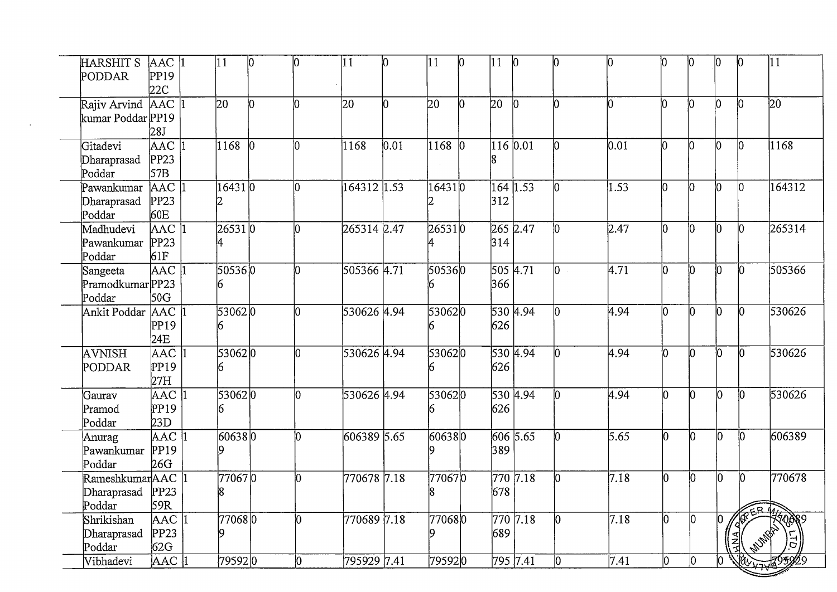| HARSHIT S<br>PODDAR                        | $ $ AAC $ $ 1<br>PP19<br>22C       | 11            | 10 | IN. | 11              | 10   | 11            | 10 | 11                    | 0               | 10 |      | 10  | 10  | 10                                       | ΙO                          | 11              |
|--------------------------------------------|------------------------------------|---------------|----|-----|-----------------|------|---------------|----|-----------------------|-----------------|----|------|-----|-----|------------------------------------------|-----------------------------|-----------------|
| Rajiv Arvind  AAC  1<br>kumar Poddar PP19  | 28J                                | $ 20\rangle$  | Ιn |     | $\overline{20}$ |      | 20            | Ю  | l20.                  | $\vert 0 \vert$ |    |      | IN. | l0  |                                          |                             | $\overline{20}$ |
| Gitadevi<br>Dharaprasad<br>Poddar          | <b>AAC</b><br>PP23<br>57B          | 1168          |    |     | 1168            | 0.01 | $1168$ 0      |    | $116 0.\overline{01}$ |                 | n. | 0.01 | 10  | lo. | lo.                                      | n.                          | 1168            |
| Pawankumar<br>Dharaprasad<br>Poddar        | AAC  1<br>PP23<br>60E              | 16431 0<br>12 |    |     | 164312  1.53    |      | 16431   0     |    | 312                   | 164 1.53        | 0  | 1.53 | l0  | Ŋ.  | lO.                                      |                             | 164312          |
| Madhudevi<br>Pawankumar<br>Poddar          | $ {\rm AAC}\> $<br>PP23<br>61F     | 26531 0       |    |     | 265314 2.47     |      | 26531 0       |    | 314                   | 265 2.47        |    | 2.47 | h   | ln. | lo.                                      | Ю                           | 265314          |
| Sangeeta<br>Pramodkumar PP23<br>Poddar     | $\left  \text{AAC} \right $<br>50G | 505360        |    | n.  | 505366 4.71     |      | 505360        |    | 366                   | 505 4.71        | 0  | 4.71 | n.  | l0  | IN.                                      | Ю                           | 505366          |
| Ankit Poddar                               | $AAC$ 1<br>PP19<br>24E             | 530620        |    | n.  | 530626 4.94     |      | 530620<br>6   |    | 626                   | 530 4.94        |    | 4.94 | n.  | n.  | lO.                                      | I٥                          | 530626          |
| <b>AVNISH</b><br>PODDAR                    | <b>AAC</b><br>PP19<br>27H          | 530620<br>l6. |    |     | 530626 4.94     |      | 530620<br>6   |    | 626                   | 530 4.94        |    | 4.94 | 0   | ln. | n.                                       | l0                          | 530626          |
| Gaurav<br>Pramod<br>Poddar                 | AAC 1<br>PP <sub>19</sub><br>23D   | 530620<br>6   |    |     | 530626 4.94     |      | 530620<br>16  |    | 626                   | 530 4.94        |    | 4.94 | 0   | n.  | 0                                        | ln.                         | 530626          |
| Anurag<br>Pawankumar<br>Poddar             | $AAC$ <sup>1</sup><br>(PP19<br>26G | 606380        |    | ሰ   | 606389 5.65     |      | 606380<br>19  |    | $ 389\rangle$         | $606$ 5.65      | 0  | 5.65 | 0   | IN. | n.                                       | 10                          | 606389          |
| RameshkumarAAC 11<br>Dharaprasad<br>Poddar | PP23<br>59R                        | 770670<br>8   |    |     | 770678 7.18     |      | 17706710<br>8 |    | 678                   | $770$ 7.18      |    | 7.18 | İ٥  | Ю   | lO.                                      | 10                          | 770678          |
| Shrikishan<br>Dharaprasad<br>Poddar        | $AAC$  1<br>PP23<br>62G            | 770680<br>19. |    | 0   | 770689 7.18     |      | 770680<br>9   |    | 689                   | 770 7.18        | 0  | 7.18 | 0   | 10  | 0<br>$\frac{ \mathbf{z} }{ \mathbf{z} }$ | $\sqrt{9}$<br><b>MUSSER</b> | $\Xi$           |
| Vibhadevi                                  | $AAC$ <sup>1</sup>                 | 795920        |    | 10  | 795929 7.41     |      | 795920        |    |                       | 795 7.41        | 0  | 7.41 | 0   | OĮ  | 0                                        |                             | CONTRA 395029   |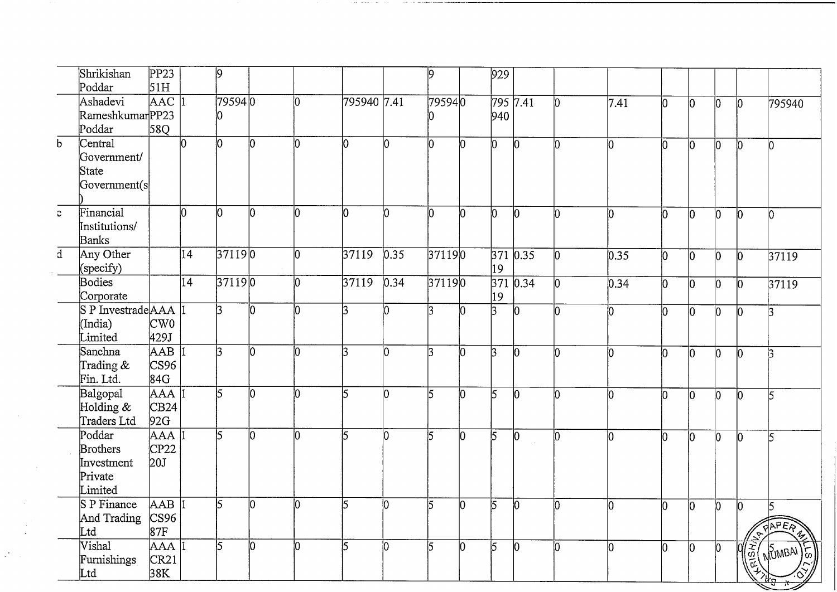|    | Shrikishan                | PP23               |    | $ 9\rangle$    |    |     |             |      | 19     |     | 929            |             |    |      |             |     |     |                 |              |
|----|---------------------------|--------------------|----|----------------|----|-----|-------------|------|--------|-----|----------------|-------------|----|------|-------------|-----|-----|-----------------|--------------|
|    | Poddar                    | 51H                |    |                |    |     |             |      |        |     |                |             |    |      |             |     |     |                 |              |
|    | Ashadevi                  | $AAC$ <sup>1</sup> |    | 795940         |    |     | 795940 7.41 |      | 795940 |     |                | 795 7.41    |    | 7.41 | 10          | IN. | 10  | 10              | 795940       |
|    | RameshkumarPP23<br>Poddar | 58Q                |    |                |    |     |             |      |        |     | 940            |             |    |      |             |     |     |                 |              |
| b  | Central                   |                    | l0 | lΟ             | Ю  | Λ   | l0          | h    | lΛ     | l0  | h.             | IO.         | In | l٥   | io.         | n   | I٥  | lΛ              | I∩           |
|    | Government/               |                    |    |                |    |     |             |      |        |     |                |             |    |      |             |     |     |                 |              |
|    | State                     |                    |    |                |    |     |             |      |        |     |                |             |    |      |             |     |     |                 |              |
|    | Government(s              |                    |    |                |    |     |             |      |        |     |                |             |    |      |             |     |     |                 |              |
|    |                           |                    |    |                |    |     |             |      |        |     |                |             |    |      |             |     |     |                 |              |
| C. | Financial                 |                    | 10 | Ю              | 10 |     | Ю           | N    | N      | l0  | n.             | Ю           | ΙO | l0   | $\Omega$    | l0  | 10  | Ю               | I۵           |
|    | Institutions/             |                    |    |                |    |     |             |      |        |     |                |             |    |      |             |     |     |                 |              |
|    | <b>Banks</b>              |                    |    |                |    |     |             |      |        |     |                |             |    |      |             |     |     |                 |              |
| d  | Any Other                 |                    | 14 | 371190         |    |     | 37119       | 0.35 | 371190 |     |                | 371 0.35    | h  | 0.35 | 10          | 10  | 10  | 10              | 37119        |
|    | (specify)                 |                    |    |                |    |     |             |      |        |     | 19             |             |    |      |             |     |     |                 |              |
|    | Bodies                    |                    | 14 | 37119 0        |    |     | 37119       | 0.34 | 371190 |     | 371            | 0.34        |    | 0.34 | Ю           | n.  | 10  | $\overline{0}$  | 37119        |
|    | Corporate                 |                    |    |                |    |     |             |      |        |     | 19             |             |    |      |             |     |     |                 |              |
|    | S P Investrade AAA        |                    |    | $\overline{3}$ | l0 | 'n. | l3          |      |        | 'n  | $\overline{3}$ | In.         |    | h    | l٥          | n   | Ŋ   | I۵              | 13           |
|    | (India)                   | CW0                |    |                |    |     |             |      |        |     |                |             |    |      |             |     |     |                 |              |
|    | Limited                   | 429J               |    |                |    |     |             |      |        |     |                |             |    |      |             |     |     |                 |              |
|    | Sanchna                   | <b>AAB</b>         |    | l3             | ΙO |     | l3          | h    | 13     | ΙO  | $\overline{3}$ | IN.         |    | n    | Ю           | n.  | l0  | Ю               | k            |
|    | Trading &<br>Fin. Ltd.    | $\csc$<br>84G      |    |                |    |     |             |      |        |     |                |             |    |      |             |     |     |                 |              |
|    | Balgopal                  | <b>AAA</b>         |    | $\overline{5}$ | l٥ |     | 5           | h    | 5      | h   | 5              | In.         |    | h    | l٥          | n   |     | n               |              |
|    | Holding &                 | CB24               |    |                |    |     |             |      |        |     |                |             |    |      |             |     | l0. |                 | l5           |
|    | Traders Ltd               | 92G                |    |                |    |     |             |      |        |     |                |             |    |      |             |     |     |                 |              |
|    | Poddar                    | <b>AAA</b>         |    | 5              | IО | n   | l5          | h    | 15     | l0  | 5              | IN.         | N  | l0   | l0.         | n.  | l0  | l0              | 15           |
|    | <b>Brothers</b>           | CP22               |    |                |    |     |             |      |        |     |                |             |    |      |             |     |     |                 |              |
|    | Investment                | 20J                |    |                |    |     |             |      |        |     |                |             |    |      |             |     |     |                 |              |
|    | Private                   |                    |    |                |    |     |             |      |        |     |                |             |    |      |             |     |     |                 |              |
|    | Limited                   |                    |    |                |    |     |             |      |        |     |                |             |    |      |             |     |     |                 |              |
|    | $S$ P Finance             | $AAB$ <sup>1</sup> |    | $\overline{5}$ | 10 |     | 15          | 10   | 5      | O   | 5              | $ 0\rangle$ | İ0 | 10   | $ 0\rangle$ | 0   | Ю   | $\overline{0}$  | 5            |
|    | And Trading               | $\vert$ CS96       |    |                |    |     |             |      |        |     |                |             |    |      |             |     |     |                 | <b>AAPER</b> |
|    | Ltd                       | 87F                |    |                |    |     |             |      |        |     |                |             |    |      |             |     |     |                 |              |
|    | Vishal                    | $AAA$ <sup>1</sup> |    | l5.            | 10 |     | 15          | l0   | 5      | lo. | $\overline{5}$ | l0.         | ΙO | n    | 10          | lO. | ΙO  | <b>POISSING</b> | NUMBAI)      |
|    | Furnishings               | CR21               |    |                |    |     |             |      |        |     |                |             |    |      |             |     |     |                 |              |
|    | Ltd                       | 38K                |    |                |    |     |             |      |        |     |                |             |    |      |             |     |     |                 |              |

consideration of the construction of the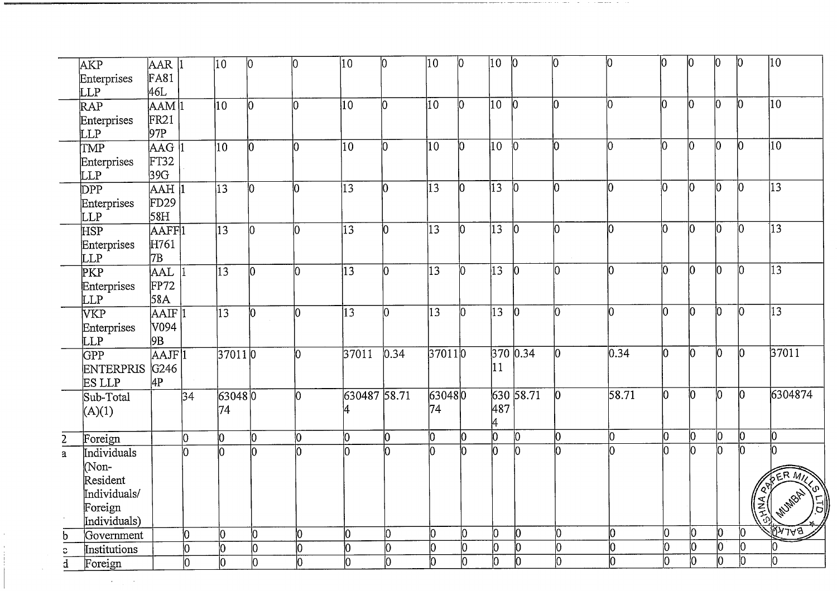|                | AKP<br>Enterprises<br>LLP                                                  | $AAR$ 1<br>FA81<br>46L                       |                 | $\overline{10}$            | İ0  | 10  | $ 10\rangle$      | 'n   | 10                   | l0  | $ 10\rangle$    | $\overline{0}$  | l0           | ۱n    | Ю              | 10  | $\vert 0 \vert$ | $\overline{0}$                                                         | $ 10\rangle$                                      |
|----------------|----------------------------------------------------------------------------|----------------------------------------------|-----------------|----------------------------|-----|-----|-------------------|------|----------------------|-----|-----------------|-----------------|--------------|-------|----------------|-----|-----------------|------------------------------------------------------------------------|---------------------------------------------------|
|                | $\overline{\text{RAP}}$<br>Enterprises<br>LLP                              | AAM 1<br>FR21<br>97P                         |                 | $ 10\rangle$               |     | l0  | $ 10\rangle$      | lo.  | $\overline{10}$      | n   | $ 10\rangle$    | $ 0\rangle$     | l0.          | n     | Iо             | lo. | lo.             | b                                                                      | 10                                                |
|                | TMP<br>Enterprises<br>LLP                                                  | AAG <sup>11</sup><br>FT32<br>39G             |                 | $ 10\rangle$               |     | lО  | $\overline{10}$   | l0   | 10                   | lo. | 10              | $\sqrt{0}$      | 10           | lo.   | lО             | O.  | l0              | l0                                                                     | $\overline{10}$                                   |
|                | <b>DPP</b><br>Enterprises<br>LLP                                           | AAH <sup>1</sup><br>FD <sub>29</sub><br>58H  |                 | $\overline{13}$            | lo. | lo. | $\overline{13}$   | l0.  | $ 13\rangle$         | Ю   | 13              | $\overline{0}$  | ΙO           | 0     | 10             | IO. | 10              | $\overline{0}$                                                         | $\overline{13}$                                   |
|                | <b>HSP</b><br>Enterprises<br>LLP                                           | AAFF <sub>1</sub><br>H761<br>7B              |                 | $\overline{13}$            | 10  | IN. | $\overline{13}$   | 10   | $\overline{13}$      | lo. | $\overline{13}$ | $\vert 0 \vert$ | Ю            | lo.   | lо             | Ю   | lo.             | l0                                                                     | $\overline{13}$                                   |
|                | $\overline{\text{PKP}}$<br>Enterprises<br>LLP                              | AAL<br>FP72<br>58A                           |                 | $\overline{13}$            | lo. | l0  | $\overline{13}$   | lo.  | $\overline{13}$      | 10  | $\overline{13}$ | l0              | lО           | lo.   | 10             | 10  | l0              | lО                                                                     | $\overline{13}$                                   |
|                | $\overline{\text{VKP}}$<br>Enterprises<br>LLP                              | $A AIF$ <sup>1</sup><br>V094<br>9B           |                 | $\overline{13}$            | 10  | 10  | $\overline{13}$   | 0    | $ 13\rangle$         | 10  | $\overline{13}$ | $ 0\rangle$     | 10           | l0    | IО             | 10  | 10              | l0                                                                     | $\overline{13}$                                   |
|                | GPP<br><b>ENTERPRIS</b><br>ES LLP                                          | AAJF <sup>1</sup><br>G246<br>$\overline{4P}$ |                 | $37011$ <sub>0</sub>       |     | 10  | 37011             | 0.34 | $37011$ <sub>0</sub> |     | 11              | $370$ 0.34      | 10           | 0.34  | lо             | l0  | İ0              | lО                                                                     | 37011                                             |
|                | Sub-Total<br>(A)(1)                                                        |                                              | $\overline{34}$ | $63048$ <sub>0</sub><br>74 |     | lo. | 630487 58.71<br>4 |      | 630480<br>74         |     | 487<br>4        | $630\,58.71$    | $\mathbf{0}$ | 58.71 | l0             | 10  | lo.             | 10                                                                     | 6304874                                           |
|                | Foreign                                                                    |                                              | O               | lo.                        | lo. | 10  | 10                | 10   | lО                   | l0  | $\overline{0}$  | l0              | l0           | 10    | l0             | 10  | 10              | 10                                                                     | lΟ                                                |
| $\frac{2}{a}$  | Individuals<br>Non-<br>Resident<br>Individuals/<br>Foreign<br>Individuals) |                                              | l0              |                            | lo  |     | h                 | lο   | l0                   |     | b               |                 |              | 0     | h              | l0  | $\overline{0}$  | b<br>$Q^{\nabla^+}$<br>$\frac{\sqrt{\frac{3}{2}}}{\sqrt{\frac{3}{2}}}$ | RER MILLON<br>I Multiple I !<br>$\widetilde{\Xi}$ |
| b              | Government                                                                 |                                              | 10              | l0                         | 10  | lО  | Ō                 | lo.  | 10                   | 0   | 10              | 10              |              | lo.   | 10             | 10  | 10              | 10                                                                     | <b>ATTAB</b>                                      |
| $\ddot{\circ}$ | Institutions                                                               |                                              | lо              | lО                         | 10  | lо  | lо                | O    | 10                   | 10  | 0               | 10              |              | 10    | 10             | 10  | $\overline{0}$  | h                                                                      | 10                                                |
| $\overline{d}$ | Foreign                                                                    |                                              | $\overline{0}$  | lО                         | l0  | l0  | lо                | ĮО   | $\overline{0}$       | 10  | $\overline{0}$  | lО              | 10           | l0    | $\overline{0}$ | 0   | $ 0\rangle$     | Iо                                                                     | Ō                                                 |

 $\mathcal{L}^{\text{max}}_{\text{max}}$ 

 $\mathcal{L} = \{ \mathcal{L}^{\mathcal{L}} \mid \mathcal{L}^{\mathcal{L}} \mid \mathcal{L}^{\mathcal{L}} \mid \mathcal{L}^{\mathcal{L}} \mid \mathcal{L}^{\mathcal{L}} \mid \mathcal{L}^{\mathcal{L}} \mid \mathcal{L}^{\mathcal{L}} \mid \mathcal{L}^{\mathcal{L}} \mid \mathcal{L}^{\mathcal{L}} \mid \mathcal{L}^{\mathcal{L}} \mid \mathcal{L}^{\mathcal{L}} \mid \mathcal{L}^{\mathcal{L}} \mid \mathcal{L}^{\mathcal{L}} \mid \mathcal{L}^{\mathcal{L}} \mid \$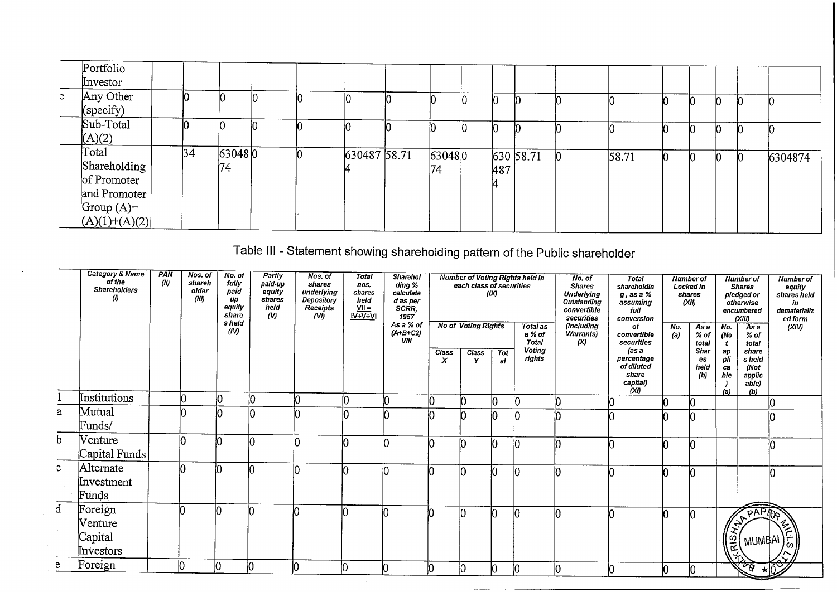|    | Portfolio                  |    |         |  |              |         |     |           |       |  |          |         |
|----|----------------------------|----|---------|--|--------------|---------|-----|-----------|-------|--|----------|---------|
|    | Investor                   |    |         |  |              |         |     |           |       |  |          |         |
| e. | Any Other                  |    |         |  |              |         |     |           |       |  |          |         |
|    | (specify)                  |    |         |  |              |         |     |           |       |  |          |         |
|    | Sub-Total                  |    |         |  |              |         |     |           |       |  |          |         |
|    | (A)(2)                     |    |         |  |              |         |     |           |       |  |          |         |
|    | Total                      | 34 | 63048 0 |  | 630487 58.71 | 63048 0 |     | 630 58.71 | 58.71 |  | $\Omega$ | 6304874 |
|    | Shareholding               |    | 74      |  |              | 174     | 487 |           |       |  |          |         |
|    | of Promoter                |    |         |  |              |         |     |           |       |  |          |         |
|    | and Promoter               |    |         |  |              |         |     |           |       |  |          |         |
|    | $\operatorname{Group}(A)=$ |    |         |  |              |         |     |           |       |  |          |         |
|    | $(A)(1)+(A)(2)$            |    |         |  |              |         |     |           |       |  |          |         |

Table III - Statement showing shareholding pattern of the Public shareholder

|             | <b>Category &amp; Name</b><br>of the<br><b>Shareholders</b><br>$\omega$ | PAN<br>(11) | Nos. of<br>shareh<br>older<br>(III) | No. of<br>fully<br>paid<br>иp<br>equity<br>share<br>s held<br>(IV) | Partly<br>paid-up<br>equity<br>shares<br>held<br>M | Nos. of<br>shares<br>underlying<br>Depository<br>Receipts<br>(VI) | <b>Total</b><br>nos.<br>shares<br>held<br>$W =$<br>$IV+V+VI$ | <b>Sharehol</b><br>ding %<br>calculate<br>d as per<br>SCRR,<br>1957<br>As a % of<br>$(A+B+C2)$<br>VIII |                   | each class of securities<br><b>No of Voting Rights</b> | (IX)      | <b>Number of Voting Rights held in</b><br><b>Total as</b><br>a % of<br><b>Total</b> | No. of<br><b>Shares</b><br><b>Underlying</b><br><b>Outstanding</b><br>convertible<br>securities<br><i>(including</i><br>Warrants)<br>$\infty$ | <b>Total</b><br>shareholdin<br>$q$ , as a $%$<br>assuming<br>full<br>conversion<br>of<br>convertible<br>securities | No.<br>(a) | <b>Number of</b><br>Locked in<br>shares<br>(XII)<br>As a<br>% of<br>total | No.<br>(No<br>$\mathbf{t}$    | <b>Number of</b><br><b>Shares</b><br>pledged or<br>otherwise<br>encumbered<br>(XIII)<br>Asa<br>% of<br>total | <b>Number of</b><br>equity<br>shares held<br>in<br>dematerializ<br>ed form<br>(XIV) |
|-------------|-------------------------------------------------------------------------|-------------|-------------------------------------|--------------------------------------------------------------------|----------------------------------------------------|-------------------------------------------------------------------|--------------------------------------------------------------|--------------------------------------------------------------------------------------------------------|-------------------|--------------------------------------------------------|-----------|-------------------------------------------------------------------------------------|-----------------------------------------------------------------------------------------------------------------------------------------------|--------------------------------------------------------------------------------------------------------------------|------------|---------------------------------------------------------------------------|-------------------------------|--------------------------------------------------------------------------------------------------------------|-------------------------------------------------------------------------------------|
|             |                                                                         |             |                                     |                                                                    |                                                    |                                                                   |                                                              |                                                                                                        | <b>Class</b><br>x | Class<br>Y                                             | Tot<br>al | Voting<br>rights                                                                    |                                                                                                                                               | (as a<br>percentage<br>of diluted<br>share<br>capital)<br>(XI)                                                     |            | Shar<br>es<br>held<br>(b)                                                 | аp<br>pli<br>ca<br>ble<br>(a) | share<br>s held<br>(Not<br>applic<br>able)<br>(b)                                                            |                                                                                     |
|             | Institutions                                                            |             | n                                   |                                                                    |                                                    |                                                                   | 10                                                           | ın.                                                                                                    | Ю                 |                                                        | n         |                                                                                     |                                                                                                                                               |                                                                                                                    |            |                                                                           |                               |                                                                                                              |                                                                                     |
| a           | Mutual<br>Funds/                                                        |             |                                     |                                                                    |                                                    |                                                                   |                                                              |                                                                                                        |                   |                                                        |           |                                                                                     |                                                                                                                                               |                                                                                                                    |            |                                                                           |                               |                                                                                                              |                                                                                     |
| $\mathbf b$ | Venture<br>Capital Funds                                                |             | l0                                  | ın.                                                                |                                                    |                                                                   |                                                              |                                                                                                        | 10                |                                                        |           |                                                                                     |                                                                                                                                               |                                                                                                                    |            |                                                                           |                               |                                                                                                              |                                                                                     |
| C.          | Alternate<br>Investment<br>Funds                                        |             |                                     |                                                                    |                                                    |                                                                   | l۵                                                           |                                                                                                        | IC                |                                                        |           |                                                                                     |                                                                                                                                               |                                                                                                                    |            |                                                                           |                               |                                                                                                              |                                                                                     |
| $\mathbf d$ | Foreign<br>Venture<br>Capital<br>Investors                              |             |                                     |                                                                    |                                                    |                                                                   |                                                              |                                                                                                        |                   |                                                        |           |                                                                                     |                                                                                                                                               |                                                                                                                    |            |                                                                           | <b>ARISHT</b>                 | <b>PAPAS</b><br>, MUMBAI)にI                                                                                  |                                                                                     |
| e.          | Foreign                                                                 |             | 10                                  |                                                                    |                                                    |                                                                   |                                                              |                                                                                                        | I∩                |                                                        |           |                                                                                     | 10                                                                                                                                            |                                                                                                                    |            |                                                                           |                               | स्त्र                                                                                                        | $\star 0\%$                                                                         |

 $\sim$  . The components of  $\sim$ 

سنداء وودودا

 $\sim$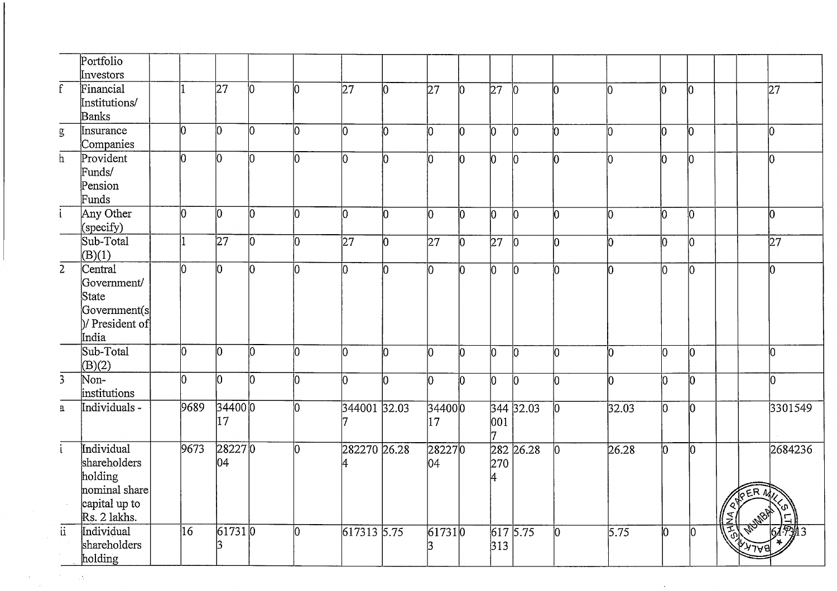|   | Portfolio<br>Investors                                                                  |      |                 |    |     |                 |    |                 |    |                 |            |     |       |                 |     |                      |                         |
|---|-----------------------------------------------------------------------------------------|------|-----------------|----|-----|-----------------|----|-----------------|----|-----------------|------------|-----|-------|-----------------|-----|----------------------|-------------------------|
| f | Financial<br>Institutions/<br>Banks                                                     |      | 27              | 10 | n   | $\overline{27}$ | 0  | 27              | Ŋ  | $\overline{27}$ | 10         |     |       | l0              | 10  |                      | $\overline{27}$         |
| g | Insurance<br>Companies                                                                  | l0.  | 10              | Ю  | IN. | l0              | Ю  | in.             | n  | lo.             | h          | 'n  |       | IN.             | lo. |                      | 10                      |
| h | Provident<br>Funds/<br>Pension<br>Funds                                                 | l0   | 10              | ю  | IN. | l0              | 10 |                 | h  | lо              | l0         | l0  | n     | 10              | lo. |                      | Ю                       |
|   | Any Other<br>(specify)                                                                  | l0   | 10              | n  | IО  | lО              | l0 | n               | b  | IО              | 'n         | l0. | n.    | IO.             | lo. |                      | l0                      |
|   | Sub-Total<br>(B)(1)                                                                     |      | $\overline{27}$ | In | lO. | 27              | 10 | $\overline{27}$ | 10 | $\overline{27}$ | $\vert$ 0  | 10  | 10    | lo.             | 10  |                      | $\overline{27}$         |
| 2 | Central<br>Government/<br>State<br>Government(s<br> )/ President of<br>India            | n    | Ю               | n  | I۵  | lo.             | b. | Ю               | IО | l0              | 10         | IN. | n     | l0              | IO. |                      | l0                      |
|   | Sub-Total<br>(B)(2)                                                                     | l0   | 10              |    |     | l0              | lО | n               | ΙO | 10              | l0         | In. |       | n               | l0  |                      | In.                     |
| 3 | Non-<br>institutions                                                                    | l0   | 10              | 'n | h   | Ō               | h  |                 | lО | Ю               | I٥         | Ò   |       | In.             | 'n  |                      | n.                      |
| a | Individuals -                                                                           | 9689 | 344000<br>17    |    | IN. | 344001 32.03    |    | 344000<br> 17   |    | 001<br>7        | 344 32.03  | O.  | 32.03 | lO.             | 10  |                      | 3301549                 |
|   | Individual<br>shareholders<br>holding<br>nominal share<br>capital up to<br>Rs. 2 lakhs. | 9673 | 282270<br>04    |    | 10  | 282270 26.28    |    | 282270<br>04    |    | 270<br>4        | 282 26.28  | 0   | 26.28 | 10              | l0  | $\sqrt{\frac{2}{5}}$ | 2684236<br>FERMA        |
| ü | Individual<br>shareholders<br>holding                                                   | 16   | 617310<br>13    |    | 10  | 617313 5.75     |    | 617310<br>13    |    | 313             | $617$ 5.75 | 10  | 5.75  | $\overline{10}$ | 10  |                      | <b>I MUMBY</b><br>Ку≀ав |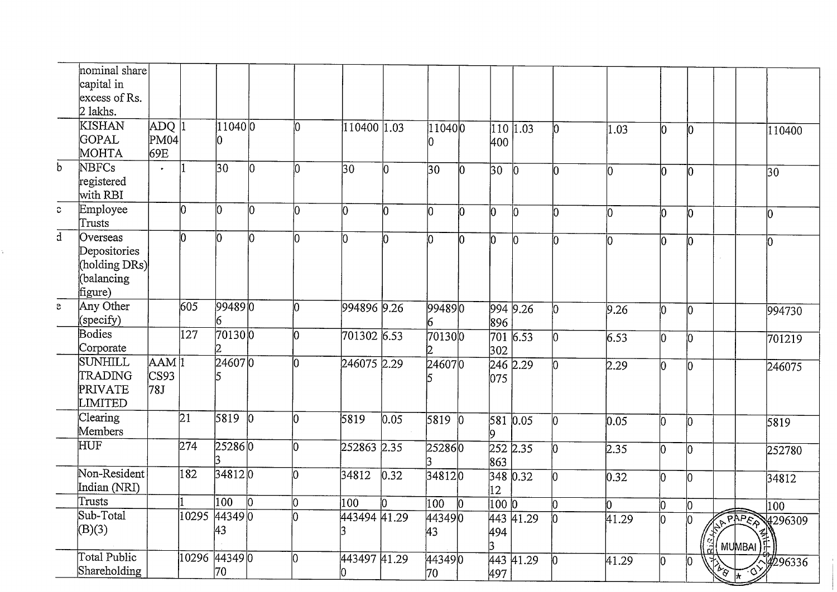|                     | nominal share<br>capital in                                       |                                          |                 |                      |             |     |                    |               |                 |             |                     |                 |    |                |     |                                       |                                 |                                                  |
|---------------------|-------------------------------------------------------------------|------------------------------------------|-----------------|----------------------|-------------|-----|--------------------|---------------|-----------------|-------------|---------------------|-----------------|----|----------------|-----|---------------------------------------|---------------------------------|--------------------------------------------------|
|                     | excess of Rs.<br>2 lakhs.                                         |                                          |                 |                      |             |     |                    |               |                 |             |                     |                 |    |                |     |                                       |                                 |                                                  |
|                     | <b>KISHAN</b><br>GOPAL<br>MOHTA                                   | ADQ <br>PM04<br>69E                      |                 | 110400<br>n          |             | h   | 110400 1.03        |               | 110400          |             | $110$ $1.03$<br>400 |                 |    | 1.03           | İ0  | lо                                    |                                 | 110400                                           |
| b                   | <b>NBFCs</b><br>registered<br>with RBI                            |                                          |                 | $ 30\rangle$         | l0          | lΟ  | $\overline{30}$    | l0            | $\overline{30}$ | O.          | $\overline{30}$     | $\vert 0 \vert$ | l0 | l0             | h   | l0                                    |                                 | $\overline{30}$                                  |
| $\mathfrak{S}$      | Employee<br>Trusts                                                |                                          | lo.             | in.                  | l0          | 10  | 10                 | l0            | l0              | Ю           | h                   | lo.             | 10 | 0              | Ю   | 10                                    |                                 | l0                                               |
| $\overline{d}$      | Overseas<br>Depositories<br>(holding DRs)<br>balancing<br>figure) |                                          | lo              | lo.                  | l0          | lo. | h                  | h             | 10              | lО          | n.                  | l0              | IО | lО             | l0. | 10                                    |                                 | Ю.                                               |
| $\ddot{\mathrm{e}}$ | Any Other<br>(specify)                                            |                                          | 605             | 994890<br>6          |             | l0  | 994896 9.26        |               | 994890<br>6     |             | 994 9.26<br>896     |                 |    | 9.26           | l0  | l0                                    |                                 | 994730                                           |
|                     | Bodies<br>Corporate                                               |                                          | 127             | 701300               |             | ∩   | 701302 6.53        |               | 701300          |             | 701 6.53<br>302     |                 | l0 | 6.53           | l0. | IО                                    |                                 | 701219                                           |
|                     | SUNHILL<br>TRADING<br>PRIVATE<br>LIMITED                          | AAM 1<br>$\overline{\text{CS}93}$<br>78J |                 | $24607$ <sub>0</sub> |             | O.  | 246075 2.29        |               | 246070          |             | 246 2.29<br>075     |                 |    | 2.29           | l0  | l0                                    |                                 | 246075                                           |
|                     | Clearing<br>Members                                               |                                          | $\overline{21}$ | 5819                 | $ 0\rangle$ | lО. | 5819               | 0.05          | 58190           |             | 581 0.05<br>19      |                 | l0 | 0.05           | lo. | lo                                    |                                 | 5819                                             |
|                     | <b>HUF</b>                                                        |                                          | 274             | 252860               |             | l0  | 252863 2.35        |               | 252860          |             | 252 2.35<br>863     |                 | ΙO | 2.35           | l0  | lo.                                   |                                 | 252780                                           |
|                     | Non-Resident<br>Indian (NRI)                                      |                                          | 182             | 348120               |             | lo. | 34812              | $\sqrt{0.32}$ | 348120          |             | 348 0.32<br>12      |                 |    | 0.32           | l0  | lo.                                   |                                 | 34812                                            |
|                     | Trusts                                                            |                                          |                 | $\overline{100}$     | IO.         | lO. | 100                | lО            | 100             | $ 0\rangle$ | $\frac{100}{0}$     |                 |    | h              | 0   | 0                                     |                                 | 100                                              |
|                     | Sub-Total<br>(B)(3)                                               |                                          |                 | 10295 44349 0<br>43  |             | l0  | 443494 41.29<br>13 |               | 443490<br>43    |             | 494<br>3            | 443 41.29       |    | 41.29          | l٥  | $\overline{0}$<br>( <u>द्वी</u><br>वि |                                 | <b>RAPER</b><br>4296309<br>$\frac{1}{2}$ (MUMBAI |
|                     | Total Public<br>Shareholding                                      |                                          |                 | 10296 44349 0<br>70  |             | lo. | 443497 41.29       |               | 443490<br> 70   |             | 497                 | 443 41.29       |    | $\sqrt{41.29}$ | l0  | 10                                    | $\sqrt{\frac{\lambda}{\sigma}}$ | 74/296336                                        |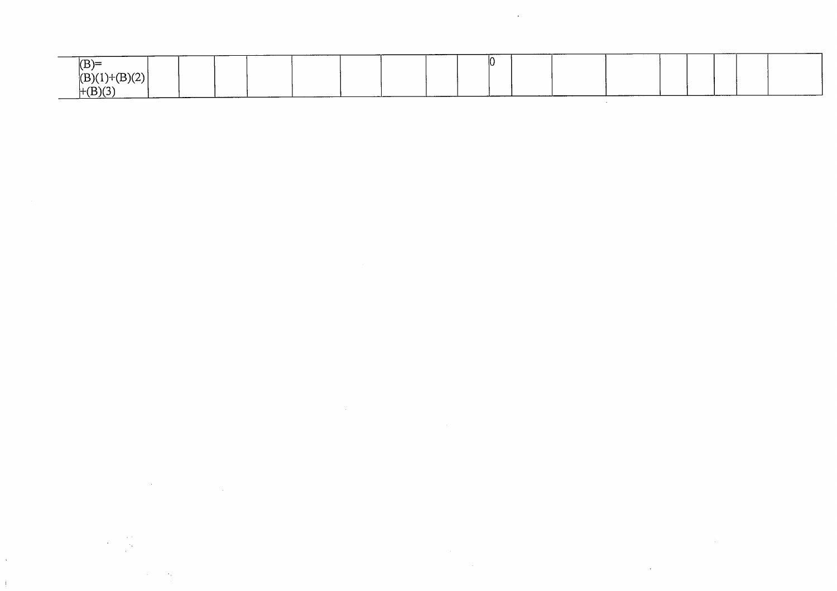| $'$ R)=<br><sub>∴\</sub> ມ |       |  |  |  |  |
|----------------------------|-------|--|--|--|--|
| $\sim$<br>VR.<br>''        |       |  |  |  |  |
| $\sim$                     | _____ |  |  |  |  |
|                            |       |  |  |  |  |

 $\mathcal{L}^{\mathcal{L}}(\mathcal{L}^{\mathcal{L}}(\mathcal{L}^{\mathcal{L}}(\mathcal{L}^{\mathcal{L}}(\mathcal{L}^{\mathcal{L}}(\mathcal{L}^{\mathcal{L}}(\mathcal{L}^{\mathcal{L}}(\mathcal{L}^{\mathcal{L}}(\mathcal{L}^{\mathcal{L}}(\mathcal{L}^{\mathcal{L}}(\mathcal{L}^{\mathcal{L}}(\mathcal{L}^{\mathcal{L}}(\mathcal{L}^{\mathcal{L}}(\mathcal{L}^{\mathcal{L}}(\mathcal{L}^{\mathcal{L}}(\mathcal{L}^{\mathcal{L}}(\mathcal{L}^{\mathcal{L$ 

 $\label{eq:2.1} \frac{1}{\sqrt{2\pi}}\left(\frac{1}{\sqrt{2\pi}}\right)^{2} \frac{1}{\sqrt{2\pi}}\left(\frac{1}{\sqrt{2\pi}}\right)^{2} \frac{1}{\sqrt{2\pi}}\left(\frac{1}{\sqrt{2\pi}}\right)^{2} \frac{1}{\sqrt{2\pi}}\left(\frac{1}{\sqrt{2\pi}}\right)^{2} \frac{1}{\sqrt{2\pi}}\left(\frac{1}{\sqrt{2\pi}}\right)^{2} \frac{1}{\sqrt{2\pi}}\left(\frac{1}{\sqrt{2\pi}}\right)^{2} \frac{1}{\sqrt{2\pi}}\left(\frac{1}{$ 

 $\label{eq:2.1} \mathcal{L}(\mathcal{L}^{\mathcal{L}}_{\mathcal{L}}(\mathcal{L}^{\mathcal{L}}_{\mathcal{L}})) \leq \mathcal{L}(\mathcal{L}^{\mathcal{L}}_{\mathcal{L}}(\mathcal{L}^{\mathcal{L}}_{\mathcal{L}})) \leq \mathcal{L}(\mathcal{L}^{\mathcal{L}}_{\mathcal{L}}(\mathcal{L}^{\mathcal{L}}_{\mathcal{L}}))$ 

 $\label{eq:2.1} \mathcal{L}(\mathcal{L}^{\text{max}}_{\mathcal{L}}(\mathcal{L}^{\text{max}}_{\mathcal{L}}))\leq \mathcal{L}(\mathcal{L}^{\text{max}}_{\mathcal{L}}(\mathcal{L}^{\text{max}}_{\mathcal{L}}))$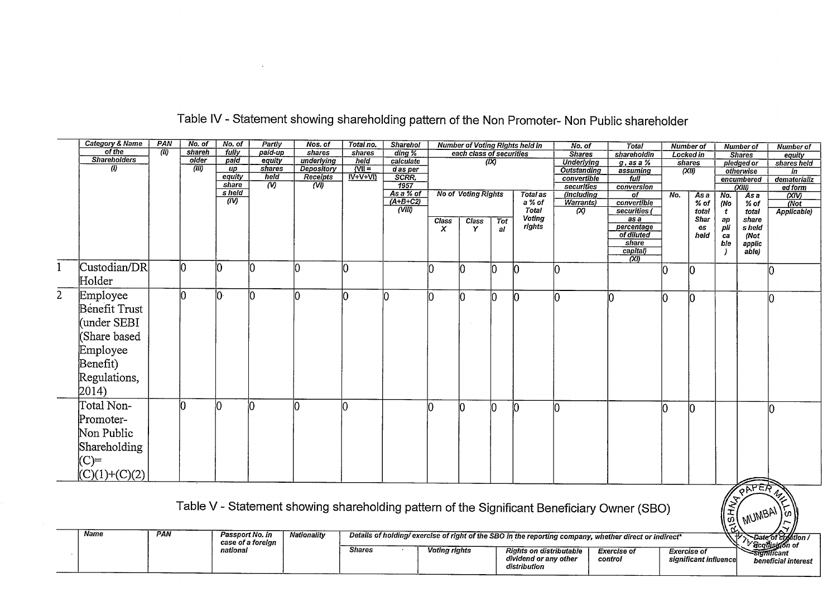|   | Category & Name     | PAN                       | No. of | No. of       | Partly         | Nos. of                       | Total no.                                                                               | <b>Sharehol</b>     |                  |                            |                | <b>Number of Voting Rights held in</b> | No. of                                                                                      | <b>Total</b>        |           | <b>Number of</b> |                    | <b>Number of</b> | Number of      |
|---|---------------------|---------------------------|--------|--------------|----------------|-------------------------------|-----------------------------------------------------------------------------------------|---------------------|------------------|----------------------------|----------------|----------------------------------------|---------------------------------------------------------------------------------------------|---------------------|-----------|------------------|--------------------|------------------|----------------|
|   | of the              | $\overline{(\mathbf{u})}$ | shareh | tully        | paid-up        | shares                        | shares                                                                                  | $\frac{d}{d}$       |                  | each class of securities   |                |                                        | <b>Shares</b>                                                                               | shareholdin         | Locked in |                  |                    | <b>Shares</b>    | equity         |
|   | <b>Shareholders</b> |                           | older  | paid         | equity         | underlying                    | held                                                                                    | calculate           |                  |                            | $\overline{u}$ |                                        | <b>Underlying</b>                                                                           | $g$ , as a %        |           | shares           |                    | pledged or       | shares held    |
|   | $\langle l \rangle$ |                           | (III)  | up<br>equity | shares<br>held | <b>Depository</b><br>Receipts | $\overline{V}$ $\overline{V}$ $\overline{V}$ $\overline{V}$ $\overline{V}$<br>$IV+V+VI$ | d as per<br>SCRR,   |                  |                            |                |                                        | <b>Outstanding</b>                                                                          | assuming            |           | (X11)            |                    | otherwise        | in             |
|   |                     |                           |        | share        | $\overline{w}$ | (VI)                          |                                                                                         | 1957                |                  |                            |                |                                        | convertible<br>securities                                                                   | full                |           |                  |                    | encumbered       | dematerializ   |
|   |                     |                           |        | s held       |                |                               |                                                                                         | As a % of           |                  | <b>No of Voting Rights</b> |                | <b>Total as</b>                        | <i>(including</i>                                                                           | conversion<br>of    | No.       | As a             | No.                | (XIII)<br>Asa    | ed form<br>XIV |
|   |                     |                           |        | (IV)         |                |                               |                                                                                         | $(A+B+C2)$          |                  |                            |                | a % of                                 | <b>Warrants</b> )                                                                           | convertible         |           | $%$ of           | (No                | % of             | (Not           |
|   |                     |                           |        |              |                |                               |                                                                                         | $\overline{(VIII)}$ |                  |                            |                | <b>Total</b>                           | ळ                                                                                           | securities (        |           | total            | t.                 | total            | Applicable)    |
|   |                     |                           |        |              |                |                               |                                                                                         |                     | Class            | <b>Class</b>               | Tot            | Voting                                 |                                                                                             | as a                |           | Shar             | ap<br>pli          | share            |                |
|   |                     |                           |        |              |                |                               |                                                                                         |                     | $\boldsymbol{x}$ | Y                          | al             | rights                                 |                                                                                             | percentage          |           | es               |                    | s held           |                |
|   |                     |                           |        |              |                |                               |                                                                                         |                     |                  |                            |                |                                        |                                                                                             | of diluted<br>share |           | held             | ca<br>ble          | (Not             |                |
|   |                     |                           |        |              |                |                               |                                                                                         |                     |                  |                            |                |                                        |                                                                                             | capital)            |           |                  |                    | applic<br>able)  |                |
|   |                     |                           |        |              |                |                               |                                                                                         |                     |                  |                            |                |                                        |                                                                                             | $\overline{\alpha}$ |           |                  |                    |                  |                |
| 1 | Custodian/DR        |                           |        |              |                |                               |                                                                                         |                     | n                | 10                         |                | 10                                     | n                                                                                           |                     |           | 10               |                    |                  | n              |
|   | Holder              |                           |        |              |                |                               |                                                                                         |                     |                  |                            |                |                                        |                                                                                             |                     |           |                  |                    |                  |                |
|   |                     |                           |        |              |                |                               |                                                                                         |                     |                  |                            |                |                                        |                                                                                             |                     |           |                  |                    |                  |                |
| 2 | Employee            |                           | IO     | In٠          | Ю              | h                             | n                                                                                       |                     | N                |                            |                | 10                                     |                                                                                             |                     |           | 10               |                    |                  | l0             |
|   | Benefit Trust       |                           |        |              |                |                               |                                                                                         |                     |                  |                            |                |                                        |                                                                                             |                     |           |                  |                    |                  |                |
|   |                     |                           |        |              |                |                               |                                                                                         |                     |                  |                            |                |                                        |                                                                                             |                     |           |                  |                    |                  |                |
|   | under SEBI          |                           |        |              |                |                               |                                                                                         |                     |                  |                            |                |                                        |                                                                                             |                     |           |                  |                    |                  |                |
|   | (Share based        |                           |        |              |                |                               |                                                                                         |                     |                  |                            |                |                                        |                                                                                             |                     |           |                  |                    |                  |                |
|   | Employee            |                           |        |              |                |                               |                                                                                         |                     |                  |                            |                |                                        |                                                                                             |                     |           |                  |                    |                  |                |
|   |                     |                           |        |              |                |                               |                                                                                         |                     |                  |                            |                |                                        |                                                                                             |                     |           |                  |                    |                  |                |
|   | Benefit)            |                           |        |              |                |                               |                                                                                         |                     |                  |                            |                |                                        |                                                                                             |                     |           |                  |                    |                  |                |
|   | Regulations,        |                           |        |              |                |                               |                                                                                         |                     |                  |                            |                |                                        |                                                                                             |                     |           |                  |                    |                  |                |
|   |                     |                           |        |              |                |                               |                                                                                         |                     |                  |                            |                |                                        |                                                                                             |                     |           |                  |                    |                  |                |
|   | 2014)               |                           |        |              |                |                               |                                                                                         |                     |                  |                            |                |                                        |                                                                                             |                     |           |                  |                    |                  |                |
|   | Total Non-          |                           | m      | n            |                | n                             | m                                                                                       |                     | n                |                            |                |                                        | İ۵                                                                                          |                     |           | 10               |                    |                  |                |
|   |                     |                           |        |              |                |                               |                                                                                         |                     |                  |                            |                |                                        |                                                                                             |                     |           |                  |                    |                  |                |
|   | Promoter-           |                           |        |              |                |                               |                                                                                         |                     |                  |                            |                |                                        |                                                                                             |                     |           |                  |                    |                  |                |
|   | Non Public          |                           |        |              |                |                               |                                                                                         |                     |                  |                            |                |                                        |                                                                                             |                     |           |                  |                    |                  |                |
|   | Shareholding        |                           |        |              |                |                               |                                                                                         |                     |                  |                            |                |                                        |                                                                                             |                     |           |                  |                    |                  |                |
|   |                     |                           |        |              |                |                               |                                                                                         |                     |                  |                            |                |                                        |                                                                                             |                     |           |                  |                    |                  |                |
|   | $(C)=$              |                           |        |              |                |                               |                                                                                         |                     |                  |                            |                |                                        |                                                                                             |                     |           |                  |                    |                  |                |
|   | $(C)(1)+(C)(2)$     |                           |        |              |                |                               |                                                                                         |                     |                  |                            |                |                                        |                                                                                             |                     |           |                  |                    |                  |                |
|   |                     |                           |        |              |                |                               |                                                                                         |                     |                  |                            |                |                                        |                                                                                             |                     |           |                  |                    |                  |                |
|   |                     |                           |        |              |                |                               |                                                                                         |                     |                  |                            |                |                                        |                                                                                             |                     |           |                  |                    | <u>ZAPER</u>     |                |
|   |                     |                           |        |              |                |                               |                                                                                         |                     |                  |                            |                |                                        |                                                                                             |                     |           |                  | $z_{\rm x}$        |                  |                |
|   |                     |                           |        |              |                |                               |                                                                                         |                     |                  |                            |                |                                        | Table V - Statement showing shareholding pattern of the Significant Beneficiary Owner (SBO) |                     |           |                  |                    | I MUMBAI.        |                |
|   |                     |                           |        |              |                |                               |                                                                                         |                     |                  |                            |                |                                        |                                                                                             |                     |           |                  | <b>ASH)</b><br>ROM |                  |                |
|   | $\overline{M}$      | <b>DA</b>                 |        |              |                |                               |                                                                                         |                     |                  |                            |                |                                        |                                                                                             |                     |           |                  |                    |                  |                |

Table IV - Statement showing shareholding pattern of the Non Promoter- Non Public shareholder

| wame | <b>FAN</b> | Passport No. In<br>case of a foreign | Nationality | Details of holding/ exercise of right of the SBO in the reporting company, whether direct or indirect* | Date of creation /<br>ี <sup>*</sup> acadisiúón or |                                                                         |                        |                                      |                                                 |
|------|------------|--------------------------------------|-------------|--------------------------------------------------------------------------------------------------------|----------------------------------------------------|-------------------------------------------------------------------------|------------------------|--------------------------------------|-------------------------------------------------|
|      |            | national                             |             | <b>Shares</b>                                                                                          | Voting rights                                      | <b>Rights on distributable</b><br>dividend or anv other<br>distribution | Exercise of<br>control | Exercise of<br>significant influence | <del>-siunili</del> cant<br>beneficial interest |